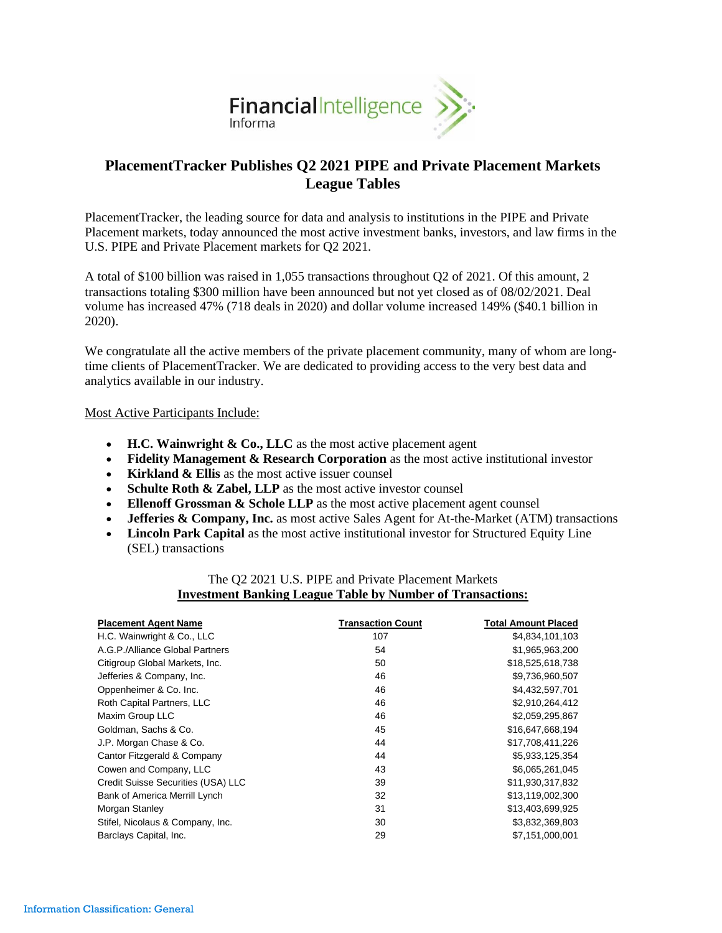

# **PlacementTracker Publishes Q2 2021 PIPE and Private Placement Markets League Tables**

PlacementTracker, the leading source for data and analysis to institutions in the PIPE and Private Placement markets, today announced the most active investment banks, investors, and law firms in the U.S. PIPE and Private Placement markets for Q2 2021.

A total of \$100 billion was raised in 1,055 transactions throughout Q2 of 2021. Of this amount, 2 transactions totaling \$300 million have been announced but not yet closed as of 08/02/2021. Deal volume has increased 47% (718 deals in 2020) and dollar volume increased 149% (\$40.1 billion in 2020).

We congratulate all the active members of the private placement community, many of whom are longtime clients of PlacementTracker. We are dedicated to providing access to the very best data and analytics available in our industry.

## Most Active Participants Include:

- **H.C. Wainwright & Co., LLC** as the most active placement agent
- **Fidelity Management & Research Corporation** as the most active institutional investor
- **Kirkland & Ellis** as the most active issuer counsel
- **Schulte Roth & Zabel, LLP** as the most active investor counsel
- **Ellenoff Grossman & Schole LLP** as the most active placement agent counsel
- **Jefferies & Company, Inc.** as most active Sales Agent for At-the-Market (ATM) transactions
- **Lincoln Park Capital** as the most active institutional investor for Structured Equity Line (SEL) transactions

## The Q2 2021 U.S. PIPE and Private Placement Markets **Investment Banking League Table by Number of Transactions:**

| <b>Placement Agent Name</b>        | <b>Transaction Count</b> | <b>Total Amount Placed</b> |
|------------------------------------|--------------------------|----------------------------|
| H.C. Wainwright & Co., LLC         | 107                      | \$4,834,101,103            |
| A.G.P./Alliance Global Partners    | 54                       | \$1,965,963,200            |
| Citigroup Global Markets, Inc.     | 50                       | \$18,525,618,738           |
| Jefferies & Company, Inc.          | 46                       | \$9,736,960,507            |
| Oppenheimer & Co. Inc.             | 46                       | \$4,432,597,701            |
| Roth Capital Partners, LLC         | 46                       | \$2,910,264,412            |
| Maxim Group LLC                    | 46                       | \$2,059,295,867            |
| Goldman, Sachs & Co.               | 45                       | \$16,647,668,194           |
| J.P. Morgan Chase & Co.            | 44                       | \$17,708,411,226           |
| Cantor Fitzgerald & Company        | 44                       | \$5,933,125,354            |
| Cowen and Company, LLC             | 43                       | \$6,065,261,045            |
| Credit Suisse Securities (USA) LLC | 39                       | \$11,930,317,832           |
| Bank of America Merrill Lynch      | 32                       | \$13,119,002,300           |
| Morgan Stanley                     | 31                       | \$13,403,699,925           |
| Stifel, Nicolaus & Company, Inc.   | 30                       | \$3,832,369,803            |
| Barclays Capital, Inc.             | 29                       | \$7,151,000,001            |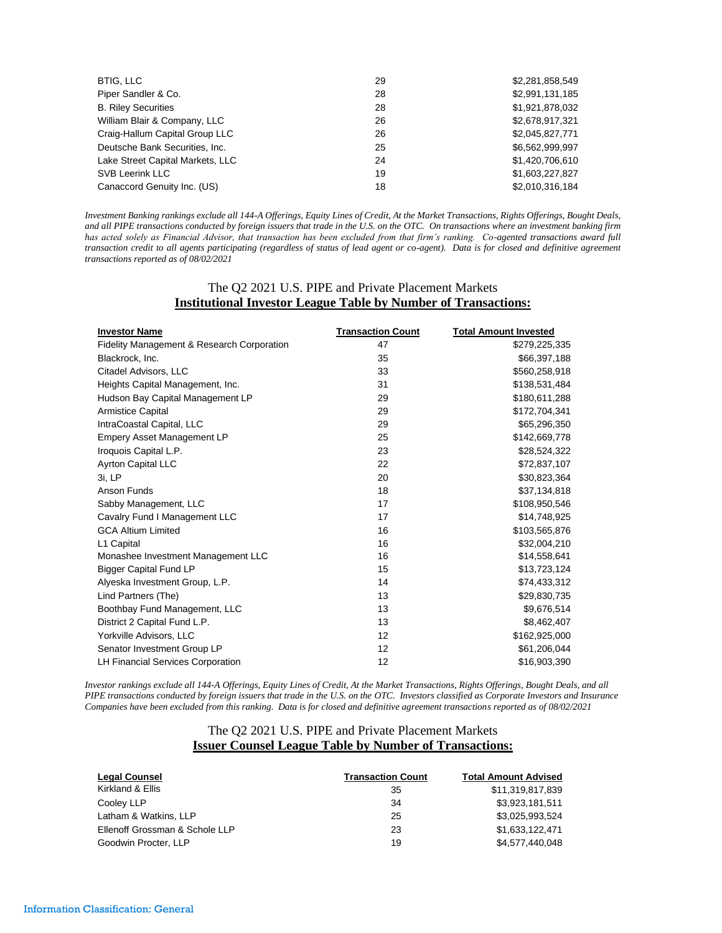| BTIG, LLC                        | 29 | \$2,281,858,549 |
|----------------------------------|----|-----------------|
| Piper Sandler & Co.              | 28 | \$2,991,131,185 |
| <b>B. Riley Securities</b>       | 28 | \$1,921,878,032 |
| William Blair & Company, LLC     | 26 | \$2,678,917,321 |
| Craig-Hallum Capital Group LLC   | 26 | \$2,045,827,771 |
| Deutsche Bank Securities, Inc.   | 25 | \$6,562,999,997 |
| Lake Street Capital Markets, LLC | 24 | \$1,420,706,610 |
| SVB Leerink LLC                  | 19 | \$1,603,227,827 |
| Canaccord Genuity Inc. (US)      | 18 | \$2,010,316,184 |

*Investment Banking rankings exclude all 144-A Offerings, Equity Lines of Credit, At the Market Transactions, Rights Offerings, Bought Deals, and all PIPE transactions conducted by foreign issuers that trade in the U.S. on the OTC. On transactions where an investment banking firm has acted solely as Financial Advisor, that transaction has been excluded from that firm's ranking. Co-agented transactions award full transaction credit to all agents participating (regardless of status of lead agent or co-agent). Data is for closed and definitive agreement transactions reported as of 08/02/2021*

## The Q2 2021 U.S. PIPE and Private Placement Markets **Institutional Investor League Table by Number of Transactions:**

| <b>Investor Name</b>                                  | <b>Transaction Count</b> | <b>Total Amount Invested</b> |
|-------------------------------------------------------|--------------------------|------------------------------|
| <b>Fidelity Management &amp; Research Corporation</b> | 47                       | \$279,225,335                |
| Blackrock, Inc.                                       | 35                       | \$66,397,188                 |
| Citadel Advisors, LLC                                 | 33                       | \$560,258,918                |
| Heights Capital Management, Inc.                      | 31                       | \$138,531,484                |
| Hudson Bay Capital Management LP                      | 29                       | \$180,611,288                |
| <b>Armistice Capital</b>                              | 29                       | \$172,704,341                |
| IntraCoastal Capital, LLC                             | 29                       | \$65,296,350                 |
| <b>Empery Asset Management LP</b>                     | 25                       | \$142,669,778                |
| Iroquois Capital L.P.                                 | 23                       | \$28,524,322                 |
| Ayrton Capital LLC                                    | 22                       | \$72,837,107                 |
| 3i, LP                                                | 20                       | \$30,823,364                 |
| Anson Funds                                           | 18                       | \$37,134,818                 |
| Sabby Management, LLC                                 | 17                       | \$108,950,546                |
| Cavalry Fund I Management LLC                         | 17                       | \$14,748,925                 |
| <b>GCA Altium Limited</b>                             | 16                       | \$103.565.876                |
| L1 Capital                                            | 16                       | \$32,004,210                 |
| Monashee Investment Management LLC                    | 16                       | \$14,558,641                 |
| <b>Bigger Capital Fund LP</b>                         | 15                       | \$13,723,124                 |
| Alyeska Investment Group, L.P.                        | 14                       | \$74,433,312                 |
| Lind Partners (The)                                   | 13                       | \$29,830,735                 |
| Boothbay Fund Management, LLC                         | 13                       | \$9,676,514                  |
| District 2 Capital Fund L.P.                          | 13                       | \$8,462,407                  |
| Yorkville Advisors, LLC                               | 12                       | \$162,925,000                |
| Senator Investment Group LP                           | 12                       | \$61,206,044                 |
| LH Financial Services Corporation                     | 12                       | \$16,903,390                 |

*Investor rankings exclude all 144-A Offerings, Equity Lines of Credit, At the Market Transactions, Rights Offerings, Bought Deals, and all PIPE transactions conducted by foreign issuers that trade in the U.S. on the OTC. Investors classified as Corporate Investors and Insurance Companies have been excluded from this ranking. Data is for closed and definitive agreement transactions reported as of 08/02/2021*

#### The Q2 2021 U.S. PIPE and Private Placement Markets **Issuer Counsel League Table by Number of Transactions:**

| <b>Legal Counsel</b>           | <b>Transaction Count</b> | <b>Total Amount Advised</b> |
|--------------------------------|--------------------------|-----------------------------|
| Kirkland & Ellis               | 35                       | \$11,319,817,839            |
| Cooley LLP                     | 34                       | \$3,923,181,511             |
| Latham & Watkins, LLP          | 25                       | \$3.025.993.524             |
| Ellenoff Grossman & Schole LLP | 23                       | \$1,633,122,471             |
| Goodwin Procter, LLP           | 19                       | \$4,577,440,048             |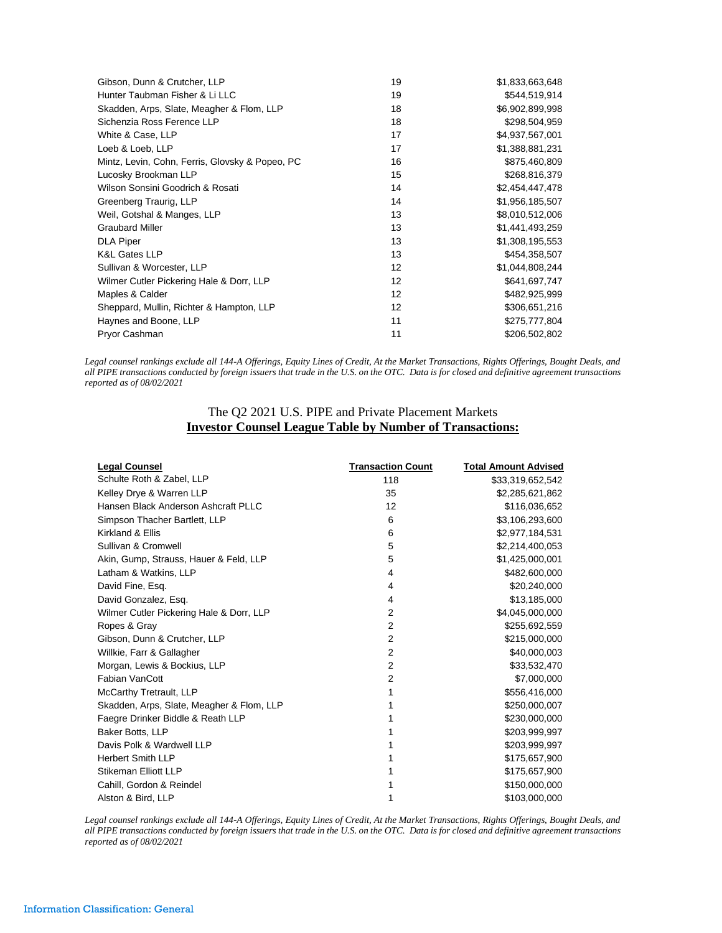| Gibson, Dunn & Crutcher, LLP                    | 19 | \$1,833,663,648 |
|-------------------------------------------------|----|-----------------|
| Hunter Taubman Fisher & Li LLC                  | 19 | \$544,519,914   |
| Skadden, Arps, Slate, Meagher & Flom, LLP       | 18 | \$6,902,899,998 |
| Sichenzia Ross Ference LLP                      | 18 | \$298,504,959   |
| White & Case, LLP                               | 17 | \$4,937,567,001 |
| Loeb & Loeb, LLP                                | 17 | \$1,388,881,231 |
| Mintz, Levin, Cohn, Ferris, Glovsky & Popeo, PC | 16 | \$875,460,809   |
| Lucosky Brookman LLP                            | 15 | \$268,816,379   |
| Wilson Sonsini Goodrich & Rosati                | 14 | \$2,454,447,478 |
| Greenberg Traurig, LLP                          | 14 | \$1,956,185,507 |
| Weil, Gotshal & Manges, LLP                     | 13 | \$8,010,512,006 |
| <b>Graubard Miller</b>                          | 13 | \$1,441,493,259 |
| <b>DLA Piper</b>                                | 13 | \$1,308,195,553 |
| K&L Gates LLP                                   | 13 | \$454,358,507   |
| Sullivan & Worcester, LLP                       | 12 | \$1,044,808,244 |
| Wilmer Cutler Pickering Hale & Dorr, LLP        | 12 | \$641,697,747   |
| Maples & Calder                                 | 12 | \$482,925,999   |
| Sheppard, Mullin, Richter & Hampton, LLP        | 12 | \$306,651,216   |
| Haynes and Boone, LLP                           | 11 | \$275,777,804   |
| Pryor Cashman                                   | 11 | \$206,502,802   |

*Legal counsel rankings exclude all 144-A Offerings, Equity Lines of Credit, At the Market Transactions, Rights Offerings, Bought Deals, and all PIPE transactions conducted by foreign issuers that trade in the U.S. on the OTC. Data is for closed and definitive agreement transactions reported as of 08/02/2021*

## The Q2 2021 U.S. PIPE and Private Placement Markets **Investor Counsel League Table by Number of Transactions:**

| <b>Legal Counsel</b>                      | <b>Transaction Count</b> | <b>Total Amount Advised</b> |
|-------------------------------------------|--------------------------|-----------------------------|
| Schulte Roth & Zabel, LLP                 | 118                      | \$33,319,652,542            |
| Kelley Drye & Warren LLP                  | 35                       | \$2,285,621,862             |
| Hansen Black Anderson Ashcraft PLLC       | 12                       | \$116,036,652               |
| Simpson Thacher Bartlett, LLP             | 6                        | \$3,106,293,600             |
| Kirkland & Ellis                          | 6                        | \$2,977,184,531             |
| Sullivan & Cromwell                       | 5                        | \$2,214,400,053             |
| Akin, Gump, Strauss, Hauer & Feld, LLP    | 5                        | \$1,425,000,001             |
| Latham & Watkins, LLP                     | 4                        | \$482,600,000               |
| David Fine, Esg.                          | 4                        | \$20,240,000                |
| David Gonzalez, Esq.                      | 4                        | \$13,185,000                |
| Wilmer Cutler Pickering Hale & Dorr, LLP  | 2                        | \$4,045,000,000             |
| Ropes & Gray                              | 2                        | \$255,692,559               |
| Gibson, Dunn & Crutcher, LLP              | 2                        | \$215,000,000               |
| Willkie, Farr & Gallagher                 | $\overline{2}$           | \$40,000,003                |
| Morgan, Lewis & Bockius, LLP              | 2                        | \$33,532,470                |
| Fabian VanCott                            | 2                        | \$7,000,000                 |
| McCarthy Tretrault, LLP                   | 1                        | \$556,416,000               |
| Skadden, Arps, Slate, Meagher & Flom, LLP | 1                        | \$250,000,007               |
| Faegre Drinker Biddle & Reath LLP         | 1                        | \$230,000,000               |
| Baker Botts, LLP                          | 1                        | \$203,999,997               |
| Davis Polk & Wardwell LLP                 |                          | \$203,999,997               |
| <b>Herbert Smith LLP</b>                  |                          | \$175,657,900               |
| Stikeman Elliott LLP                      |                          | \$175,657,900               |
| Cahill, Gordon & Reindel                  |                          | \$150,000,000               |
| Alston & Bird, LLP                        | 1                        | \$103,000,000               |

*Legal counsel rankings exclude all 144-A Offerings, Equity Lines of Credit, At the Market Transactions, Rights Offerings, Bought Deals, and all PIPE transactions conducted by foreign issuers that trade in the U.S. on the OTC. Data is for closed and definitive agreement transactions reported as of 08/02/2021*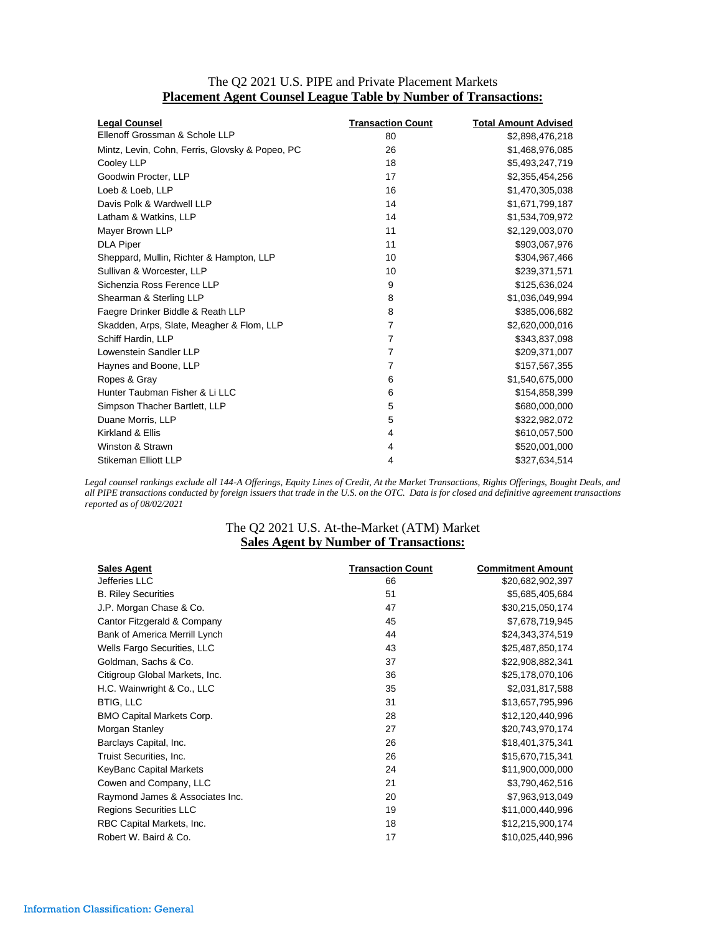| The Q2 2021 U.S. PIPE and Private Placement Markets                    |  |
|------------------------------------------------------------------------|--|
| <b>Placement Agent Counsel League Table by Number of Transactions:</b> |  |

| <b>Legal Counsel</b>                            | <b>Transaction Count</b> | <b>Total Amount Advised</b> |
|-------------------------------------------------|--------------------------|-----------------------------|
| Ellenoff Grossman & Schole LLP                  | 80                       | \$2,898,476,218             |
| Mintz, Levin, Cohn, Ferris, Glovsky & Popeo, PC | 26                       | \$1,468,976,085             |
| Cooley LLP                                      | 18                       | \$5,493,247,719             |
| Goodwin Procter, LLP                            | 17                       | \$2,355,454,256             |
| Loeb & Loeb, LLP                                | 16                       | \$1,470,305,038             |
| Davis Polk & Wardwell LLP                       | 14                       | \$1,671,799,187             |
| Latham & Watkins, LLP                           | 14                       | \$1,534,709,972             |
| Mayer Brown LLP                                 | 11                       | \$2,129,003,070             |
| <b>DLA Piper</b>                                | 11                       | \$903,067,976               |
| Sheppard, Mullin, Richter & Hampton, LLP        | 10                       | \$304,967,466               |
| Sullivan & Worcester, LLP                       | 10                       | \$239,371,571               |
| Sichenzia Ross Ference LLP                      | 9                        | \$125,636,024               |
| Shearman & Sterling LLP                         | 8                        | \$1,036,049,994             |
| Faegre Drinker Biddle & Reath LLP               | 8                        | \$385,006,682               |
| Skadden, Arps, Slate, Meagher & Flom, LLP       | 7                        | \$2,620,000,016             |
| Schiff Hardin, LLP                              | $\overline{7}$           | \$343,837,098               |
| Lowenstein Sandler LLP                          | 7                        | \$209,371,007               |
| Haynes and Boone, LLP                           | 7                        | \$157,567,355               |
| Ropes & Gray                                    | 6                        | \$1,540,675,000             |
| Hunter Taubman Fisher & Li LLC                  | 6                        | \$154,858,399               |
| Simpson Thacher Bartlett, LLP                   | 5                        | \$680,000,000               |
| Duane Morris, LLP                               | 5                        | \$322,982,072               |
| Kirkland & Ellis                                | 4                        | \$610,057,500               |
| Winston & Strawn                                | 4                        | \$520,001,000               |
| <b>Stikeman Elliott LLP</b>                     | 4                        | \$327,634,514               |

*Legal counsel rankings exclude all 144-A Offerings, Equity Lines of Credit, At the Market Transactions, Rights Offerings, Bought Deals, and all PIPE transactions conducted by foreign issuers that trade in the U.S. on the OTC. Data is for closed and definitive agreement transactions reported as of 08/02/2021*

## The Q2 2021 U.S. At-the-Market (ATM) Market **Sales Agent by Number of Transactions:**

| <b>Sales Agent</b>               | <b>Transaction Count</b> | <b>Commitment Amount</b> |
|----------------------------------|--------------------------|--------------------------|
| Jefferies LLC                    | 66                       | \$20,682,902,397         |
| <b>B. Riley Securities</b>       | 51                       | \$5,685,405,684          |
| J.P. Morgan Chase & Co.          | 47                       | \$30,215,050,174         |
| Cantor Fitzgerald & Company      | 45                       | \$7,678,719,945          |
| Bank of America Merrill Lynch    | 44                       | \$24,343,374,519         |
| Wells Fargo Securities, LLC      | 43                       | \$25,487,850,174         |
| Goldman, Sachs & Co.             | 37                       | \$22,908,882,341         |
| Citigroup Global Markets, Inc.   | 36                       | \$25,178,070,106         |
| H.C. Wainwright & Co., LLC       | 35                       | \$2,031,817,588          |
| <b>BTIG, LLC</b>                 | 31                       | \$13,657,795,996         |
| <b>BMO Capital Markets Corp.</b> | 28                       | \$12,120,440,996         |
| Morgan Stanley                   | 27                       | \$20,743,970,174         |
| Barclays Capital, Inc.           | 26                       | \$18,401,375,341         |
| Truist Securities, Inc.          | 26                       | \$15,670,715,341         |
| KeyBanc Capital Markets          | 24                       | \$11,900,000,000         |
| Cowen and Company, LLC           | 21                       | \$3,790,462,516          |
| Raymond James & Associates Inc.  | 20                       | \$7,963,913,049          |
| <b>Regions Securities LLC</b>    | 19                       | \$11,000,440,996         |
| RBC Capital Markets, Inc.        | 18                       | \$12,215,900,174         |
| Robert W. Baird & Co.            | 17                       | \$10,025,440,996         |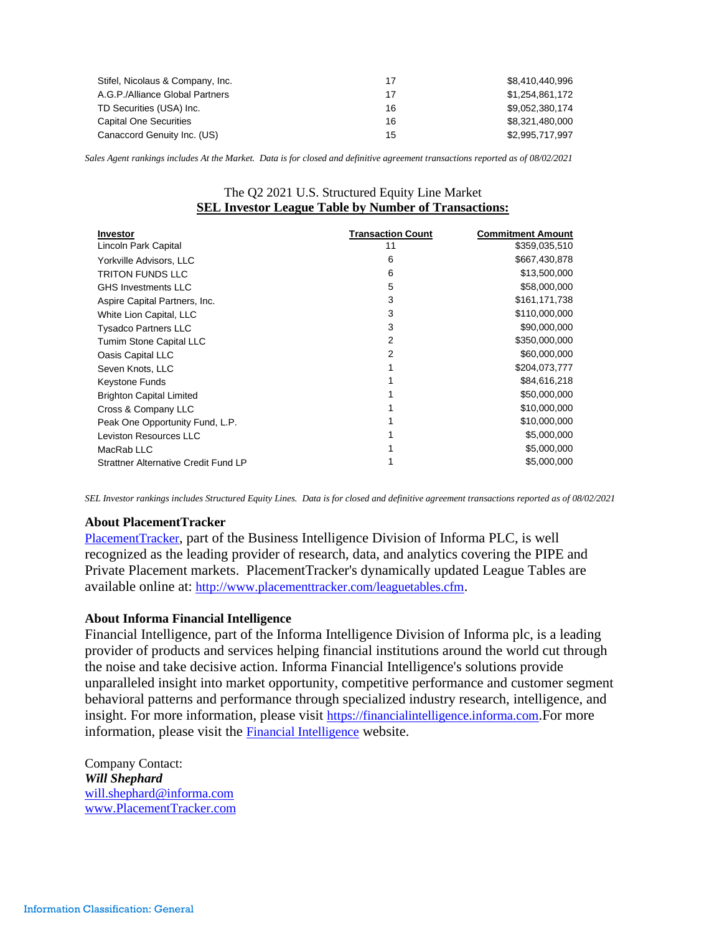| Stifel, Nicolaus & Company, Inc. | 17 | \$8,410,440,996 |
|----------------------------------|----|-----------------|
| A.G.P./Alliance Global Partners  | 17 | \$1.254.861.172 |
| TD Securities (USA) Inc.         | 16 | \$9.052.380.174 |
| Capital One Securities           | 16 | \$8.321.480.000 |
| Canaccord Genuity Inc. (US)      | 15 | \$2,995,717,997 |

*Sales Agent rankings includes At the Market. Data is for closed and definitive agreement transactions reported as of 08/02/2021*

## The Q2 2021 U.S. Structured Equity Line Market **SEL Investor League Table by Number of Transactions:**

| <b>Investor</b>                             | <b>Transaction Count</b> | <b>Commitment Amount</b> |
|---------------------------------------------|--------------------------|--------------------------|
| Lincoln Park Capital                        | 11                       | \$359,035,510            |
| Yorkville Advisors, LLC                     | 6                        | \$667,430,878            |
| <b>TRITON FUNDS LLC</b>                     | 6                        | \$13,500,000             |
| <b>GHS Investments LLC</b>                  | 5                        | \$58,000,000             |
| Aspire Capital Partners, Inc.               | 3                        | \$161,171,738            |
| White Lion Capital, LLC                     | 3                        | \$110,000,000            |
| <b>Tysadco Partners LLC</b>                 | 3                        | \$90,000,000             |
| Tumim Stone Capital LLC                     | 2                        | \$350,000,000            |
| Oasis Capital LLC                           | 2                        | \$60,000,000             |
| Seven Knots, LLC                            |                          | \$204,073,777            |
| Keystone Funds                              |                          | \$84,616,218             |
| <b>Brighton Capital Limited</b>             |                          | \$50,000,000             |
| Cross & Company LLC                         |                          | \$10,000,000             |
| Peak One Opportunity Fund, L.P.             |                          | \$10,000,000             |
| Leviston Resources LLC                      |                          | \$5,000,000              |
| MacRab LLC                                  |                          | \$5,000,000              |
| <b>Strattner Alternative Credit Fund LP</b> |                          | \$5,000,000              |

*SEL Investor rankings includes Structured Equity Lines. Data is for closed and definitive agreement transactions reported as of 08/02/2021*

#### **About PlacementTracker**

[PlacementTracker](http://www.placementtracker.com/), part of the Business Intelligence Division of Informa PLC, is well recognized as the leading provider of research, data, and analytics covering the PIPE and Private Placement markets. PlacementTracker's dynamically updated League Tables are available online at: <http://www.placementtracker.com/leaguetables.cfm>.

#### **About Informa Financial Intelligence**

Financial Intelligence, part of the Informa Intelligence Division of Informa plc, is a leading provider of products and services helping financial institutions around the world cut through the noise and take decisive action. Informa Financial Intelligence's solutions provide unparalleled insight into market opportunity, competitive performance and customer segment behavioral patterns and performance through specialized industry research, intelligence, and insight. For more information, please visit [https://financialintelligence.informa.com](https://c212.net/c/link/?t=0&l=en&o=2436868-1&h=1669662222&u=https%3A%2F%2Ffinancialintelligence.informa.com%2F&a=https%3A%2F%2Ffinancialintelligence.informa.com).For more information, please visit the [Financial Intelligence](http://informa.com/divisions/business-intelligence/financial-intelligence/) website.

Company Contact: *Will Shephard* [will.shephard@informa.com](mailto:will.shephard@informa.com) [www.PlacementTracker.com](https://protect-us.mimecast.com/s/ANrmBzU76MvNfN?domain=placementtracker.com)